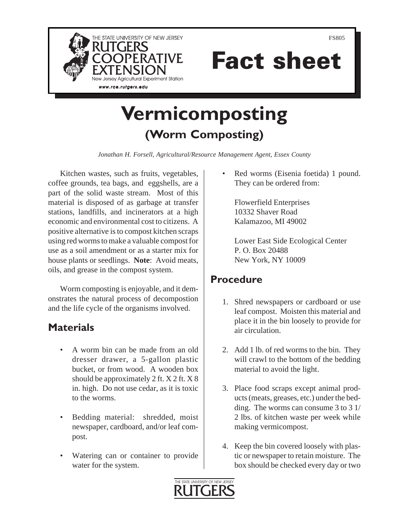

Fact sheet

# **Vermicomposting (Worm Composting)**

*Jonathan H. Forsell, Agricultural/Resource Management Agent, Essex County* 

Kitchen wastes, such as fruits, vegetables, coffee grounds, tea bags, and eggshells, are a part of the solid waste stream. Most of this material is disposed of as garbage at transfer stations, landfills, and incinerators at a high economic and environmental cost to citizens. A positive alternative is to compost kitchen scraps using red worms to make a valuable compost for use as a soil amendment or as a starter mix for house plants or seedlings. **Note**: Avoid meats, oils, and grease in the compost system.

Worm composting is enjoyable, and it demonstrates the natural process of decompostion and the life cycle of the organisms involved.

# **Materials**

- A worm bin can be made from an old dresser drawer, a 5-gallon plastic bucket, or from wood. A wooden box should be approximately 2 ft. X 2 ft. X 8 in. high. Do not use cedar, as it is toxic to the worms.
- Bedding material: shredded, moist newspaper, cardboard, and/or leaf compost.
- Watering can or container to provide water for the system.

Red worms (Eisenia foetida) 1 pound. They can be ordered from:

Flowerfield Enterprises 10332 Shaver Road Kalamazoo, MI 49002

Lower East Side Ecological Center P. O. Box 20488 New York, NY 10009

# **Procedure**

- 1. Shred newspapers or cardboard or use leaf compost. Moisten this material and place it in the bin loosely to provide for air circulation.
- 2. Add 1 lb. of red worms to the bin. They will crawl to the bottom of the bedding material to avoid the light.
- 3. Place food scraps except animal products (meats, greases, etc.) under the bedding. The worms can consume 3 to 3 1/ 2 lbs. of kitchen waste per week while making vermicompost.
- 4. Keep the bin covered loosely with plastic or newspaper to retain moisture. The box should be checked every day or two